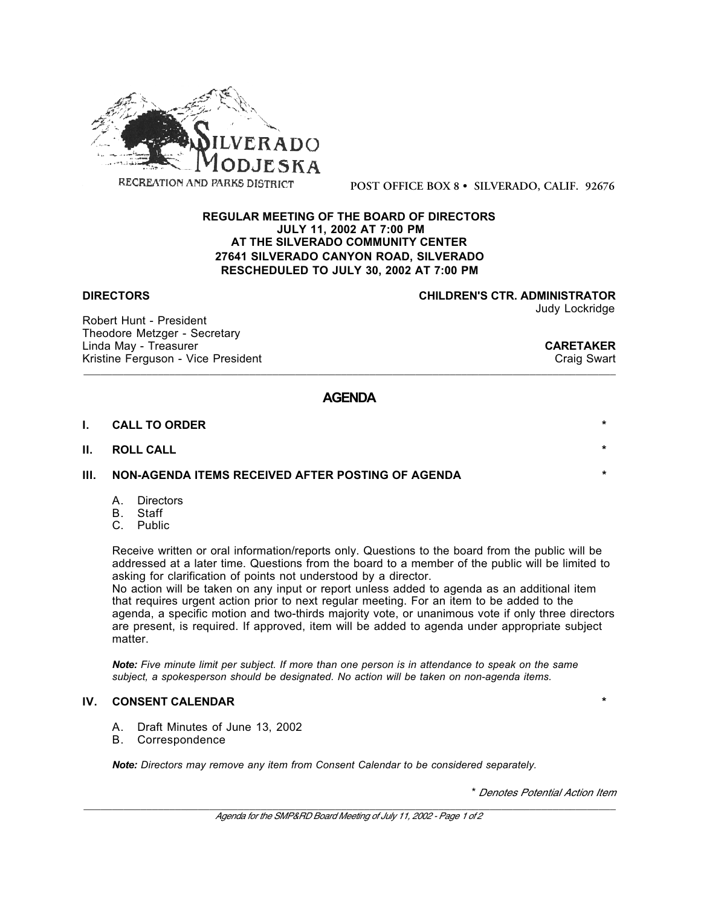

**POST OFFICE BOX 8 • SILVERADO, CALIF. 92676**

### **REGULAR MEETING OF THE BOARD OF DIRECTORS JULY 11, 2002 AT 7:00 PM AT THE SILVERADO COMMUNITY CENTER 27641 SILVERADO CANYON ROAD, SILVERADO RESCHEDULED TO JULY 30, 2002 AT 7:00 PM**

Robert Hunt - President Theodore Metzger - Secretary Linda May - Treasurer **CARETAKER**<br>
Kristine Ferguson - Vice President Kristine Ferguson - Vice President

**DIRECTORS CHILDREN'S CTR. ADMINISTRATOR**

Judy Lockridge

# **AGENDA**

\_\_\_\_\_\_\_\_\_\_\_\_\_\_\_\_\_\_\_\_\_\_\_\_\_\_\_\_\_\_\_\_\_\_\_\_\_\_\_\_\_\_\_\_\_\_\_\_\_\_\_\_\_\_\_\_\_\_\_\_\_\_\_\_\_\_\_\_\_\_\_\_\_\_\_\_\_\_\_\_\_\_\_\_\_\_\_\_\_\_\_\_\_

| I. | <b>CALL TO ORDER</b>                                       | $\star$ |
|----|------------------------------------------------------------|---------|
|    | II. ROLL CALL                                              | $\star$ |
|    | III.     NON-AGENDA ITEMS RECEIVED AFTER POSTING OF AGENDA | $\star$ |

- A. Directors
- B. Staff
- C. Public

Receive written or oral information/reports only. Questions to the board from the public will be addressed at a later time. Questions from the board to a member of the public will be limited to asking for clarification of points not understood by a director.

No action will be taken on any input or report unless added to agenda as an additional item that requires urgent action prior to next regular meeting. For an item to be added to the agenda, a specific motion and two-thirds majority vote, or unanimous vote if only three directors are present, is required. If approved, item will be added to agenda under appropriate subject matter.

*Note: Five minute limit per subject. If more than one person is in attendance to speak on the same subject, a spokesperson should be designated. No action will be taken on non-agenda items.*

#### **IV. CONSENT CALENDAR \***

- A. Draft Minutes of June 13, 2002
- B. Correspondence

*Note: Directors may remove any item from Consent Calendar to be considered separately.*

\* *Denotes Potential Action Item*

\_\_\_\_\_\_\_\_\_\_\_\_\_\_\_\_\_\_\_\_\_\_\_\_\_\_\_\_\_\_\_\_\_\_\_\_\_\_\_\_\_\_\_\_\_\_\_\_\_\_\_\_\_\_\_\_\_\_\_\_\_\_\_\_\_\_\_\_\_\_\_\_\_\_\_\_\_\_\_\_\_\_\_\_\_\_\_\_\_\_\_\_\_ *Agenda for the SMP&RD Board Meeting of July 11, 2002 - Page 1 of 2*